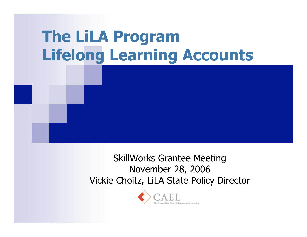### **The LiLA Program Lifelong Learning Accounts**

SkillWorks Grantee Meeting November 28, 2006 Vickie Choitz, LiLA State Policy Director

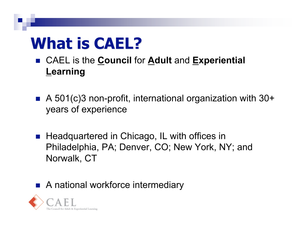#### **What is CAEL?**

- CAEL is the **Council** for **Adult** and **Experiential Learning**
- A 501(c)3 non-profit, international organization with 30+ years of experience
- Headquartered in Chicago, IL with offices in Philadelphia, PA; Denver, CO; New York, NY; and Norwalk, CT
- A national workforce intermediary

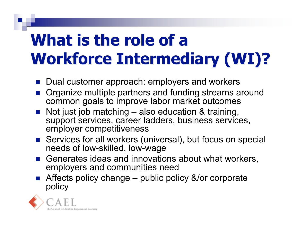# **What is the role of a Workforce Intermediary (WI)?**

- Dual customer approach: employers and workers
- **Organize multiple partners and funding streams around** common goals to improve labor market outcomes
- Not just job matching also education & training, support services, career ladders, business services, employer competitiveness
- Services for all workers (universal), but focus on special needs of low-skilled, low-wage
- Generates ideas and innovations about what workers, employers and communities need
- Affects policy change public policy &/or corporate policy

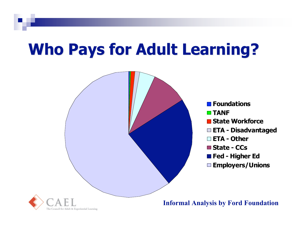#### **Who Pays for Adult Learning?**

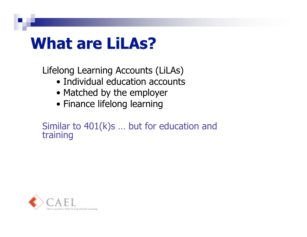#### **What are LiLAs?**

Lifelong Learning Accounts (LiLAs)

- Individual education accounts
- Matched by the employer
- Finance lifelong learning

Similar to 401(k)s ... but for education and training

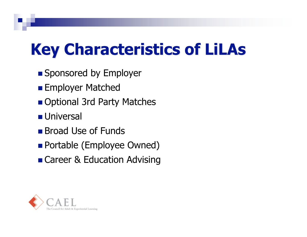## **Key Characteristics of LiLAs**

- **Sponsored by Employer**
- **Employer Matched**
- Optional 3rd Party Matches
- **Universal**
- **Broad Use of Funds**
- **Portable (Employee Owned)**
- Career & Education Advising

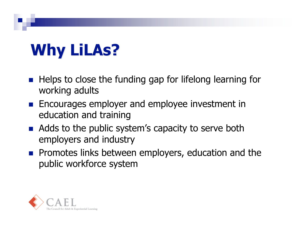# **Why LiLAs?**

- $\blacksquare$  Helps to close the funding gap for lifelong learning for working adults
- **Encourages employer and employee investment in** education and training
- Adds to the public system's capacity to serve both employers and industry
- **Promotes links between employers, education and the** public workforce system

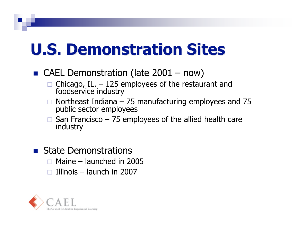#### **U.S. Demonstration Sites**

- CAEL Demonstration (late  $2001 now$ )
	- $\Box$  Chicago, IL.  $-125$  employees of the restaurant and foodservice industry
	- $\Box$  Northeast Indiana 75 manufacturing employees and 75 public sector employees
	- San Francisco 75 employees of the allied health care industry
- **State Demonstrations** 
	- $\Box$  Maine launched in 2005
	- $\Box$  Illinois launch in 2007

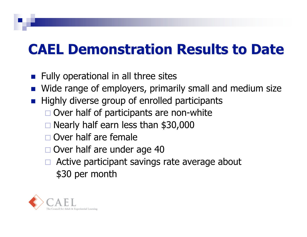#### **CAEL Demonstration Results to Date CAEL Demonstration Results to Date**

- $\blacksquare$  Fully operational in all three sites
- Wide range of employers, primarily small and medium size
- Highly diverse group of enrolled participants
	- $\Box$  Over half of participants are non-white
	- $\Box$  Nearly half earn less than \$30,000
	- Over half are female
	- □ Over half are under age 40
	- Active participant savings rate average about \$30 per month

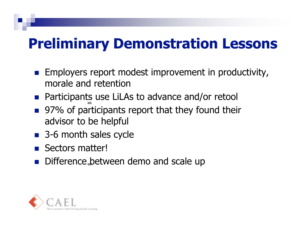#### **Preliminary Demonstration Lessons Preliminary Demonstration Lessons**

- Employers report modest improvement in productivity, morale and retention
- Participants use LiLAs to advance and/or retool
- 97% of participants report that they found their advisor to be helpful
- 3-6 month sales cycle
- Sectors matter!
- Difference between demo and scale up

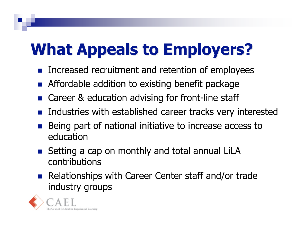## **What Appeals to Employers?**

- Increased recruitment and retention of employees
- **Affordable addition to existing benefit package**
- Career & education advising for front-line staff
- **Industries with established career tracks very interested**
- Being part of national initiative to increase access to education
- Setting a cap on monthly and total annual LiLA contributions
- **Relationships with Career Center staff and/or trade** industry groups

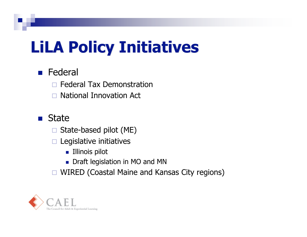## **LiLA Policy Initiatives**

#### **Federal**

Federal Tax Demonstration

□ National Innovation Act

#### **State**

State-based pilot (ME)

 $\Box$  Legislative initiatives

- **Illinois pilot**
- Draft legislation in MO and MN
- □ WIRED (Coastal Maine and Kansas City regions)

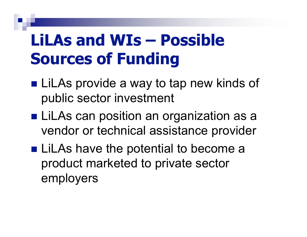### **LiLAs and WIs – Possible Sources of Funding**

- LiLAs provide a way to tap new kinds of public sector investment
- LiLAs can position an organization as a vendor or technical assistance provider
- LiLAs have the potential to become a product marketed to private sector employers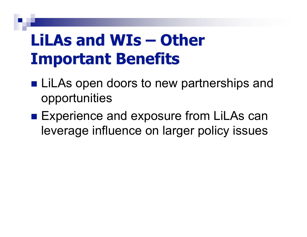#### **LiLAs and WIs – Other Important Benefits**

- **LiLAs open doors to new partnerships and** opportunities
- Experience and exposure from LiLAs can leverage influence on larger policy issues